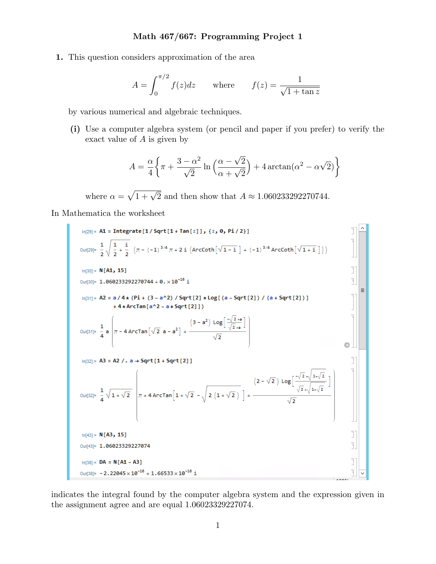**1.** This question considers approximation of the area

$$
A = \int_0^{\pi/2} f(z)dz \quad \text{where} \quad f(z) = \frac{1}{\sqrt{1 + \tan z}}
$$

by various numerical and algebraic techniques.

**(i)** Use a computer algebra system (or pencil and paper if you prefer) to verify the exact value of *A* is given by

$$
A = \frac{\alpha}{4} \left\{ \pi + \frac{3 - \alpha^2}{\sqrt{2}} \ln \left( \frac{\alpha - \sqrt{2}}{\alpha + \sqrt{2}} \right) + 4 \arctan(\alpha^2 - \alpha \sqrt{2}) \right\}
$$

where  $\alpha = \sqrt{1 + \sqrt{2}}$  and then show that  $A \approx 1.060233292270744$ .

In Mathematica the worksheet



indicates the integral found by the computer algebra system and the expression given in the assignment agree and are equal 1*.*06023329227074.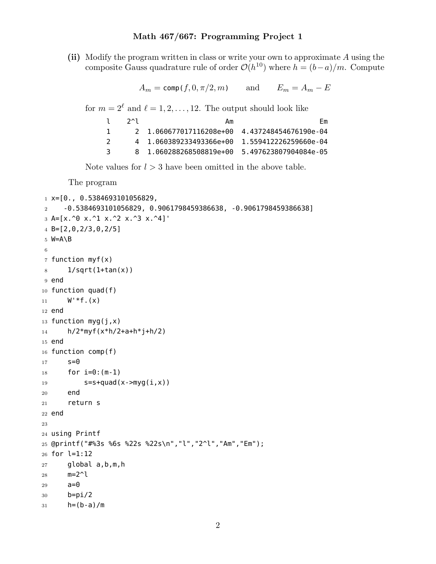**(ii)** Modify the program written in class or write your own to approximate *A* using the composite Gauss quadrature rule of order  $\mathcal{O}(h^{10})$  where  $h = (b-a)/m$ . Compute

 $A_m = \text{comp}(f, 0, \pi/2, m)$  and  $E_m = A_m - E$ 

for  $m = 2^{\ell}$  and  $\ell = 1, 2, ..., 12$ . The output should look like

| $2^{\wedge}1$ | Αm                      | Нm                    |
|---------------|-------------------------|-----------------------|
|               |                         |                       |
|               | 4 1.060389233493366e+00 | 1.559412226259660e-04 |
|               | 8 1.060288268508819e+00 | 5.497623807904084e-05 |

Note values for  $l > 3$  have been omitted in the above table.

The program

```
1 \times = [0., 0.5384693101056829,2 -0.5384693101056829, 0.9061798459386638, -0.9061798459386638]
3 A=[x.^0 x.^1 x.^2 x.^3 x.^4]'
4 B=[2,0,2/3,0,2/5]
5 W=A\B
6
7 function myf(x)
8 1/sqrt(1+tan(x))
9 end
10 function quad(f)
11 W^*f(x)12 end
13 function myg(j,x)
14 h/2*myf(x*h/2+a+h*j+h/2)
15 end
16 function comp(f)
17 s=018 for i=0:(m-1)19 s=s+quad(x->myg(i,x)))20 end
21 return s
22 end
23
24 using Printf
25 @printf("#%3s %6s %22s %22s\n","l","2^l","Am","Em");
26 for l=1:12
27 global a,b,m,h
28 m=2^l
29 a=0
30 b=pi/2
31 h=(b-a)/m
```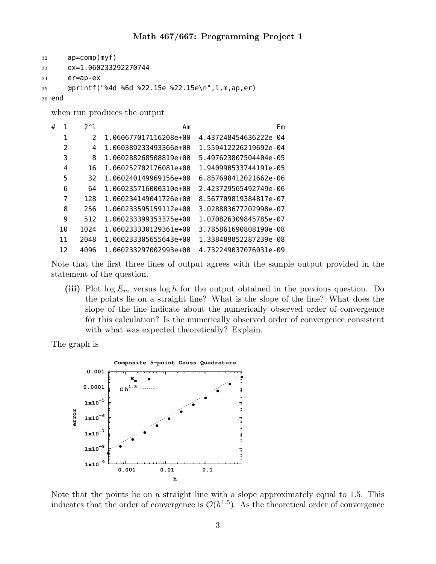```
32 ap=comp(myf)
33 ex=1.060233292270744
34 er=ap-ex
35 @printf("%4d %6d %22.15e %22.15e\n",l,m,ap,er)
36 end
```
when run produces the output

| # |               | $2^1$         | Аm                    | Em                    |
|---|---------------|---------------|-----------------------|-----------------------|
|   | 1             | $\mathcal{P}$ | 1.060677017116208e+00 | 4.437248454636222e-04 |
|   | $\mathcal{P}$ | 4             | 1.060389233493366e+00 | 1.559412226219692e-04 |
|   | 3             | 8             | 1.060288268508819e+00 | 5.497623807504404e-05 |
|   | 4             | 16            | 1.060252702176081e+00 | 1.940990533744191e-05 |
|   | 5             | 32            | 1.060240149969156e+00 | 6.857698412021662e-06 |
|   | 6             | 64            | 1.060235716000310e+00 | 2.423729565492749e-06 |
|   | 7             | 128           | 1.060234149041726e+00 | 8.567709819384817e-07 |
|   | 8             | 256           | 1.060233595159112e+00 | 3.028883677202998e-07 |
|   | 9             | 512           | 1.060233399353375e+00 | 1.070826309845785e-07 |
|   | 10            | 1024          | 1.060233330129361e+00 | 3.785861690808190e-08 |
|   | 11            | 2048          | 1.060233305655643e+00 | 1.338489852287239e-08 |
|   | 12            | 4096          | 1.060233297002993e+00 | 4.732249037076031e-09 |

Note that the first three lines of output agrees with the sample output provided in the statement of the question.

**(iii)** Plot log *E<sup>m</sup>* versus log *h* for the output obtained in the previous question. Do the points lie on a straight line? What is the slope of the line? What does the slope of the line indicate about the numerically observed order of convergence for this calculation? Is the numerically observed order of convergence consistent with what was expected theoretically? Explain.

The graph is



Note that the points lie on a straight line with a slope approximately equal to 1.5. This indicates that the order of convergence is  $\mathcal{O}(h^{1.5})$ . As the theoretical order of convergence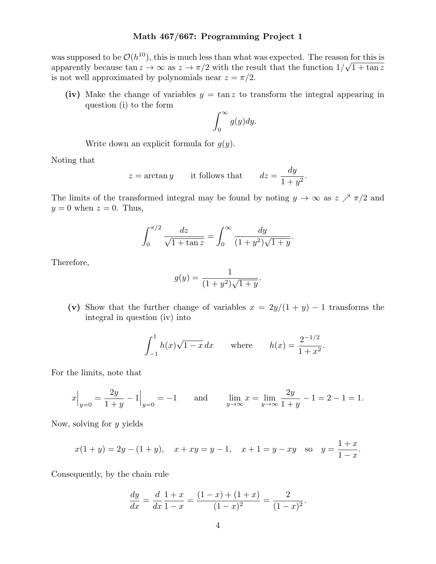was supposed to be  $\mathcal{O}(h^{10})$ , this is much less than what was expected. The reason for this is apparently because  $\tan z \to \infty$  as  $z \to \pi/2$  with the result that the function  $1/\sqrt{1 + \tan z}$ is not well approximated by polynomials near  $z = \pi/2$ .

(iv) Make the change of variables  $y = \tan z$  to transform the integral appearing in question (i) to the form

$$
\int_0^\infty g(y)dy.
$$

Write down an explicit formula for *g*(*y*).

Noting that

$$
z = \arctan y
$$
 it follows that  $dz = \frac{dy}{1+y^2}$ .

The limits of the transformed integral may be found by noting  $y \to \infty$  as  $z \nearrow \pi/2$  and  $y = 0$  when  $z = 0$ . Thus,

$$
\int_0^{\pi/2} \frac{dz}{\sqrt{1 + \tan z}} = \int_0^\infty \frac{dy}{(1 + y^2)\sqrt{1 + y}}.
$$

Therefore,

$$
g(y) = \frac{1}{(1+y^2)\sqrt{1+y}}.
$$

(v) Show that the further change of variables  $x = 2y/(1 + y) - 1$  transforms the integral in question (iv) into

$$
\int_{-1}^{1} h(x)\sqrt{1-x} \, dx \qquad \text{where} \qquad h(x) = \frac{2^{-1/2}}{1+x^2}.
$$

For the limits, note that

$$
x\Big|_{y=0} = \frac{2y}{1+y} - 1\Big|_{y=0} = -1 \quad \text{and} \quad \lim_{y \to \infty} x = \lim_{y \to \infty} \frac{2y}{1+y} - 1 = 2 - 1 = 1.
$$

Now, solving for *y* yields

$$
x(1 + y) = 2y - (1 + y), \quad x + xy = y - 1, \quad x + 1 = y - xy
$$
 so  $y = \frac{1 + x}{1 - x}.$ 

Consequently, by the chain rule

$$
\frac{dy}{dx} = \frac{d}{dx}\frac{1+x}{1-x} = \frac{(1-x) + (1+x)}{(1-x)^2} = \frac{2}{(1-x)^2}.
$$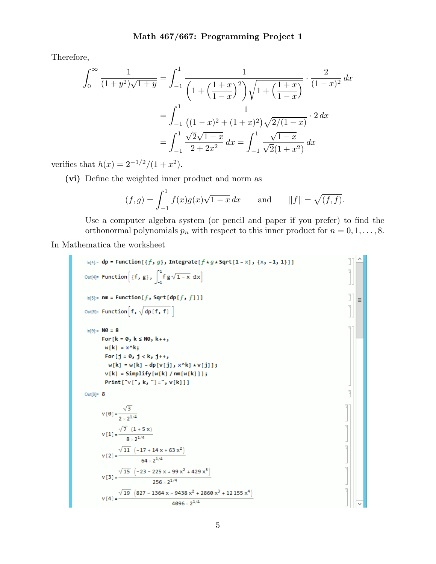Therefore,

$$
\int_0^\infty \frac{1}{(1+y^2)\sqrt{1+y}} = \int_{-1}^1 \frac{1}{\left(1+\left(\frac{1+x}{1-x}\right)^2\right)\sqrt{1+\left(\frac{1+x}{1-x}\right)}} \cdot \frac{2}{(1-x)^2} dx
$$

$$
= \int_{-1}^1 \frac{1}{\left((1-x)^2+(1+x)^2\right)\sqrt{2/(1-x)}} \cdot 2 dx
$$

$$
= \int_{-1}^1 \frac{\sqrt{2}\sqrt{1-x}}{2+2x^2} dx = \int_{-1}^1 \frac{\sqrt{1-x}}{\sqrt{2}(1+x^2)} dx
$$

verifies that  $h(x) = 2^{-1/2}/(1 + x^2)$ .

**(vi)** Define the weighted inner product and norm as

$$
(f,g) = \int_{-1}^{1} f(x)g(x)\sqrt{1-x} dx
$$
 and  $||f|| = \sqrt{(f,f)}$ .

Use a computer algebra system (or pencil and paper if you prefer) to find the orthonormal polynomials  $p_n$  with respect to this inner product for  $n = 0, 1, \ldots, 8$ .

In Mathematica the worksheet

```
\ln[4]: dp = Function [{f, g}, Integrate [f * g * Sqrt [1 - x], {x, -1, 1}]]
                                                                                                                                          IT
Out[4]= Function [f, g], \int_{-1}^{1} f g \sqrt{1-x} dxIn[5]:= nm = Function [f, Sqrt[dp[f, f]]]
                                                                                                                                          ונ
                                                                                                                                              \equivOut[5]= Function\left[f, \sqrt{dp[f, f]}\right]In[9]:=100 = 8For [k = 0, k \le N0, k++)w[k] = x^kFor [j = 0, j < k, j++)w[k] = w[k] - dp[v[j], x^k, v[j]];
          v[k] = Simplify[w[k] / nm[w[k]]];Print["v[", k, "]=", v[k]]]
                                                                                                                                          P
Out[9]= 8V[0] = \frac{\sqrt{3}}{2 \times 2^{1/4}}v[1] = \frac{\sqrt{7} (1 + 5x)}{8 \times 2^{1/4}}v [2] = \frac{\sqrt{11} (-17 + 14 \times 63 \times ^2)}{64 \times 2^{1/4}}v [3] = \frac{\sqrt{15} \left(-23 - 225 \times + 99 \times^2 + 429 \times^3\right)}{256 \times 2^{1/4}}v[4] = \frac{\sqrt{19} \left(827 - 1364 \times -9438 \times^2 + 2860 \times^3 + 12155 \times^4\right)}{4096 \times 2^{1/4}}
```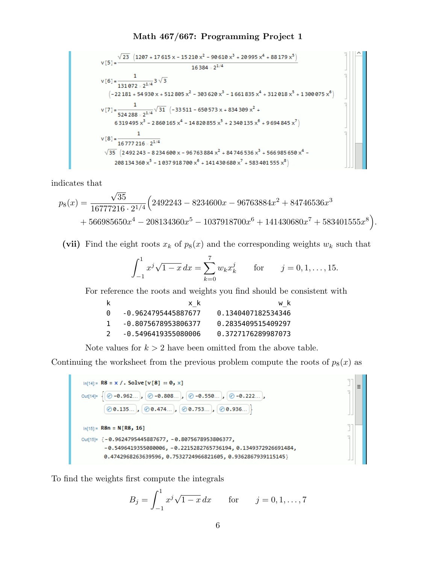$$
v[5] = \frac{\sqrt{23} \left(1207 + 17615 \times -15210 \times^2 - 90610 \times^3 + 20995 \times^4 + 88179 \times^5\right)}{16384 \times 2^{1/4}}
$$
  
\n
$$
v[6] = \frac{1}{131072 \times 2^{1/4}} 3 \sqrt{3}
$$
  
\n
$$
\left(-22181 + 54930 \times + 512805 \times^2 - 303620 \times^3 - 1661835 \times^4 + 312018 \times^5 + 1300075 \times^6\right)
$$
  
\n
$$
v[7] = \frac{1}{524288 \times 2^{1/4}} \sqrt{31} \left(-33511 - 650573 \times + 834309 \times^2 + 6319495 \times^3 - 2860165 \times^4 - 14820855 \times^5 + 2340135 \times^6 + 9694845 \times^7\right)
$$
  
\n
$$
v[8] = \frac{1}{16777216 \times 2^{1/4}}
$$
  
\n
$$
\sqrt{35} \left(2492243 - 8234600 \times - 96763884 \times^2 + 84746536 \times^3 + 566985650 \times^4 - 208134360 \times^5 - 1037918700 \times^6 + 141430680 \times^7 + 583401555 \times^8\right)
$$

indicates that

$$
p_8(x) = \frac{\sqrt{35}}{16777216 \cdot 2^{1/4}} \Big( 2492243 - 8234600x - 96763884x^2 + 84746536x^3 + 566985650x^4 - 208134360x^5 - 1037918700x^6 + 141430680x^7 + 583401555x^8 \Big).
$$

(vii) Find the eight roots  $x_k$  of  $p_8(x)$  and the corresponding weights  $w_k$  such that

$$
\int_{-1}^{1} x^j \sqrt{1-x} \, dx = \sum_{k=0}^{7} w_k x_k^j \qquad \text{for} \qquad j = 0, 1, \dots, 15.
$$

 $\equiv$ 

For reference the roots and weights you find should be consistent with

|                       | x k                 | w k                |
|-----------------------|---------------------|--------------------|
| $\lceil \cdot \rceil$ | -0.9624795445887677 | 0.1340407182534346 |
|                       | -0.8075678953806377 | 0.2835409515409297 |
|                       | -0.5496419355080006 | 0.3727176289987073 |

Note values for  $k > 2$  have been omitted from the above table.

Continuing the worksheet from the previous problem compute the roots of  $p_8(x)$  as

| $ln[14] = R8 = x /$ . Solve [v[8] = 0, x]                                                                                          |
|------------------------------------------------------------------------------------------------------------------------------------|
| Out[14]= $\left\{\bigcirc \circ -0.962\right\}$ , $\bigcirc -0.808\right]$ , $\bigcirc -0.550\right]$ , $\bigcirc -0.222\right]$ , |
| $\{\circledcirc\, 0.135 \}, \{\circledcirc\, 0.474 \}, \{\circledcirc\, 0.753 \}, \{\circledcirc\, 0.936 \}$                       |
| $ln[15] = R8n = N[R8, 16]$                                                                                                         |
| Out[15]= $[-0.9624795445887677, -0.8075678953806377]$                                                                              |
| $-0.5496419355080006, -0.2215282765736194, 0.1349372926691484,$                                                                    |
| 0.4742968263639596, 0.7532724966821605, 0.9362867939115145}                                                                        |

To find the weights first compute the integrals

$$
B_j = \int_{-1}^{1} x^j \sqrt{1-x} \, dx \qquad \text{for} \qquad j = 0, 1, \dots, 7
$$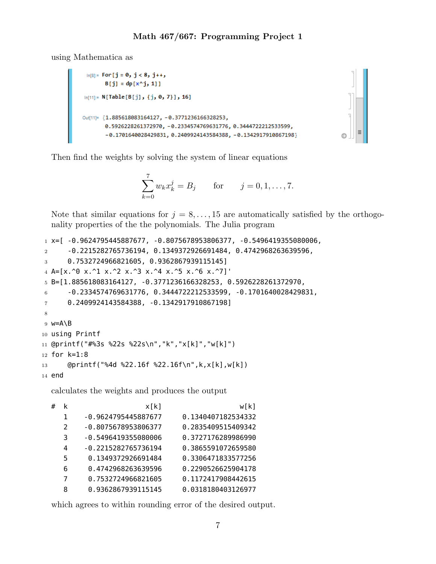using Mathematica as

```
\ln[8]:= For [j = 0, j < 8, j + +,
       B[j] = dp[x^{\wedge}j, 1]In[11]:= N[Table[B[j], \{j, 0, 7\}], 16]Out[11]= {1.885618083164127, -0.3771236166328253,
       0.5926228261372970, -0.2334574769631776, 0.3444722212533599,
       -0.1701640028429831, 0.2409924143584388, -0.1342917910867198
```
Then find the weights by solving the system of linear equations

$$
\sum_{k=0}^{7} w_k x_k^j = B_j \quad \text{for} \quad j = 0, 1, ..., 7.
$$

Note that similar equations for  $j = 8, \ldots, 15$  are automatically satisfied by the orthogonality properties of the the polynomials. The Julia program

```
1 \times = [ -0.9624795445887677, -0.8075678953806377, -0.5496419355080006,
2 -0.2215282765736194, 0.1349372926691484, 0.4742968263639596,
3 0.7532724966821605, 0.9362867939115145]
4 A=[x.^0 x.^1 x.^2 x.^3 x.^4 x.^5 x.^6 x.^7]'
5 B=[1.885618083164127, -0.3771236166328253, 0.5926228261372970,
6 -0.2334574769631776, 0.3444722212533599, -0.1701640028429831,
7 0.2409924143584388, -0.1342917910867198]
8
9 w=A\B
10 using Printf
11 @printf("#%3s %22s %22s\n","k","x[k]","w[k]")
12 for k=1:8
13 @printf("%4d %22.16f %22.16f\n",k,x[k],w[k])
```
14 end

calculates the weights and produces the output

| # | k             | x[k]                | w[k]               |
|---|---------------|---------------------|--------------------|
|   | 1             | -0.9624795445887677 | 0.1340407182534332 |
|   | $\mathcal{L}$ | -0.8075678953806377 | 0.2835409515409342 |
|   | 3             | -0.5496419355080006 | 0.3727176289986990 |
|   | 4             | -0.2215282765736194 | 0.3865591072659580 |
|   | 5             | 0.1349372926691484  | 0.3306471833577256 |
|   | 6             | 0.4742968263639596  | 0.2290526625904178 |
|   | 7             | 0.7532724966821605  | 0.1172417908442615 |
|   | 8             | 0.9362867939115145  | 0.0318180403126977 |

which agrees to within rounding error of the desired output.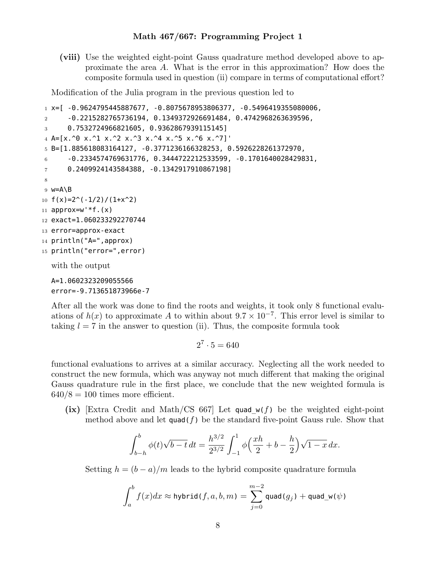**(viii)** Use the weighted eight-point Gauss quadrature method developed above to approximate the area *A*. What is the error in this approximation? How does the composite formula used in question (ii) compare in terms of computational effort?

Modification of the Julia program in the previous question led to

```
1 \text{ x} =[ -0.9624795445887677, -0.8075678953806377, -0.5496419355080006,
2 -0.2215282765736194, 0.1349372926691484, 0.4742968263639596,
3 0.7532724966821605, 0.9362867939115145]
4 A=[x.^0 x.^1 x.^2 x.^3 x.^4 x.^5 x.^6 x.^7]'
5 B=[1.885618083164127, -0.3771236166328253, 0.5926228261372970,
6 -0.2334574769631776, 0.3444722212533599, -0.1701640028429831,
7 0.2409924143584388, -0.1342917910867198]
8
9 w=A\B
10 f(x)=2^(-1/2)/(1+x^2)11 approx=w' * f. (x)12 exact=1.060233292270744
13 error=approx-exact
14 println("A=",approx)
15 println("error=",error)
  with the output
  A=1.0602323209055566
```
error=-9.713651873966e-7

After all the work was done to find the roots and weights, it took only 8 functional evaluations of  $h(x)$  to approximate *A* to within about  $9.7 \times 10^{-7}$ . This error level is similar to taking  $l = 7$  in the answer to question (ii). Thus, the composite formula took

$$
2^7 \cdot 5 = 640
$$

functional evaluations to arrives at a similar accuracy. Neglecting all the work needed to construct the new formula, which was anyway not much different that making the original Gauss quadrature rule in the first place, we conclude that the new weighted formula is  $640/8 = 100$  times more efficient.

**(ix)** [Extra Credit and Math/CS 667] Let quad\_w(*f*) be the weighted eight-point method above and let  $\mathsf{quad}(f)$  be the standard five-point Gauss rule. Show that

$$
\int_{b-h}^{b} \phi(t)\sqrt{b-t} \, dt = \frac{h^{3/2}}{2^{3/2}} \int_{-1}^{1} \phi\left(\frac{xh}{2} + b - \frac{h}{2}\right)\sqrt{1-x} \, dx.
$$

Setting  $h = (b - a)/m$  leads to the hybrid composite quadrature formula

$$
\int_a^b f(x)dx \approx \text{hybrid}(f, a, b, m) = \sum_{j=0}^{m-2} \text{quad}(g_j) + \text{quad\_w}(\psi)
$$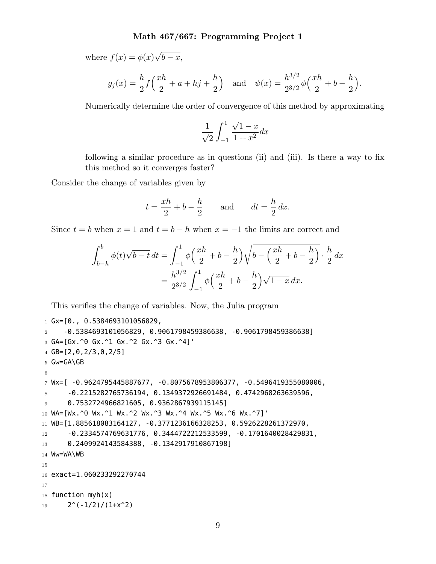where  $f(x) = \phi(x)\sqrt{b-x}$ ,

$$
g_j(x) = \frac{h}{2} f\left(\frac{xh}{2} + a + h j + \frac{h}{2}\right)
$$
 and  $\psi(x) = \frac{h^{3/2}}{2^{3/2}} \phi\left(\frac{xh}{2} + b - \frac{h}{2}\right).$ 

Numerically determine the order of convergence of this method by approximating

$$
\frac{1}{\sqrt{2}}\int_{-1}^1\frac{\sqrt{1-x}}{1+x^2}dx
$$

following a similar procedure as in questions (ii) and (iii). Is there a way to fix this method so it converges faster?

Consider the change of variables given by

$$
t = \frac{xh}{2} + b - \frac{h}{2} \quad \text{and} \quad dt = \frac{h}{2} dx.
$$

Since  $t = b$  when  $x = 1$  and  $t = b - h$  when  $x = -1$  the limits are correct and

$$
\int_{b-h}^{b} \phi(t)\sqrt{b-t} dt = \int_{-1}^{1} \phi\left(\frac{xh}{2} + b - \frac{h}{2}\right)\sqrt{b - \left(\frac{xh}{2} + b - \frac{h}{2}\right)} \cdot \frac{h}{2} dx
$$
  
= 
$$
\frac{h^{3/2}}{2^{3/2}} \int_{-1}^{1} \phi\left(\frac{xh}{2} + b - \frac{h}{2}\right)\sqrt{1-x} dx.
$$

This verifies the change of variables. Now, the Julia program

```
1 Gx=[0., 0.5384693101056829,
2 -0.5384693101056829, 0.9061798459386638, -0.9061798459386638]
3 GA=[Gx.^0 Gx.^1 Gx.^2 Gx.^3 Gx.^4]'
4 GB=[2,0,2/3,0,2/5]
5 Gw=GA\GB
6
7 Wx=[ -0.9624795445887677, -0.8075678953806377, -0.5496419355080006,
8 -0.2215282765736194, 0.1349372926691484, 0.4742968263639596,
9 0.7532724966821605, 0.9362867939115145]
10 WA=[Wx.^0 Wx.^1 Wx.^2 Wx.^3 Wx.^4 Wx.^5 Wx.^6 Wx.^7]'
11 WB=[1.885618083164127, -0.3771236166328253, 0.5926228261372970,
12 -0.2334574769631776, 0.3444722212533599, -0.1701640028429831,
13 0.2409924143584388, -0.1342917910867198]
14 Ww=WA\WB
15
16 exact=1.060233292270744
17
18 function myh(x)19 2^{\wedge}(-1/2)/(1+x^{\wedge}2)
```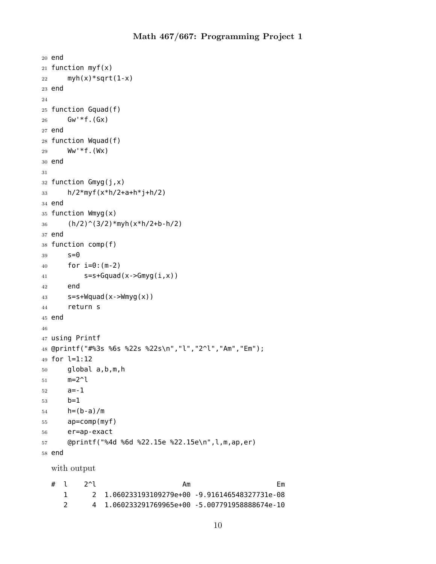```
20 end
21 function myf(x)
22 myh(x)*sqrt(1-x)
23 end
24
25 function Gquad(f)
26 GW^*f.(GX)27 end
28 function Wquad(f)
29 Ww'*f.(Wx)
30 end
31
32 function Gmyg(j,x)
33 h/2*myf(x*h/2+a+h*j+h/2)
34 end
35 function Wmyg(x)
36 (h/2)^(3/2)*myh(x*h/2+b-h/2)
37 end
38 function comp(f)
39 S=040 for i=0:(m-2)
41 s=s+Gquad(x->Gmyg(i,x))42 end
43 s=s+Wquad(x.-)Wmyg(x))44 return s
45 end
46
47 using Printf
48 @printf("#%3s %6s %22s %22s\n","l","2^l","Am","Em");
49 for l=1:12
50 global a,b,m,h
51 \qquad m=2^l52 a=-1
53 b=1
54 h=(b-a)/m
55 ap=comp(myf)
56 er=ap-exact
57 @printf("%4d %6d %22.15e %22.15e\n",l,m,ap,er)
58 end
  with output
  # l 2^l \qquad \qquad Am \qquad \qquad Em
```